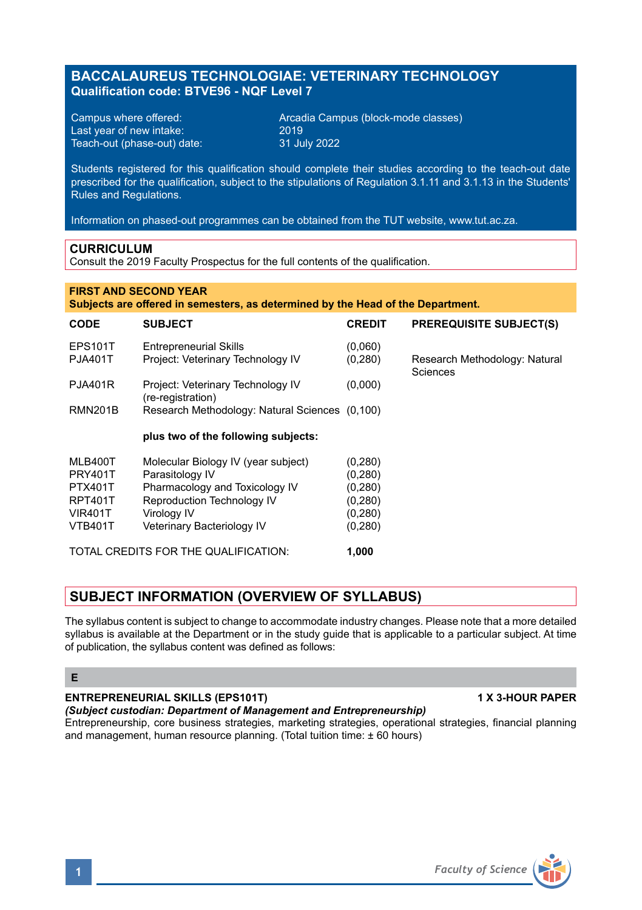# **BACCALAUREUS TECHNOLOGIAE: VETERINARY TECHNOLOGY Qualification code: BTVE96 - NQF Level 7**

Last year of new intake: 2019 Teach-out (phase-out) date:

Campus where offered: <br>
Last vear of new intake: 2019 2019<br>
2019 2019

Students registered for this qualification should complete their studies according to the teach-out date prescribed for the qualification, subject to the stipulations of Regulation 3.1.11 and 3.1.13 in the Students' Rules and Regulations.

Information on phased-out programmes can be obtained from the TUT website, www.tut.ac.za.

### **CURRICULUM**

Consult the 2019 Faculty Prospectus for the full contents of the qualification.

### **FIRST AND SECOND YEAR**

**Subjects are offered in semesters, as determined by the Head of the Department.**

| <b>CODE</b>                          | <b>SUBJECT</b>                                                     | <b>CREDIT</b>       | <b>PREREQUISITE SUBJECT(S)</b>            |
|--------------------------------------|--------------------------------------------------------------------|---------------------|-------------------------------------------|
| <b>EPS101T</b><br><b>PJA401T</b>     | <b>Entrepreneurial Skills</b><br>Project: Veterinary Technology IV | (0,060)<br>(0, 280) | Research Methodology: Natural<br>Sciences |
| <b>PJA401R</b>                       | Project: Veterinary Technology IV<br>(re-registration)             | (0,000)             |                                           |
| <b>RMN201B</b>                       | Research Methodology: Natural Sciences (0,100)                     |                     |                                           |
|                                      | plus two of the following subjects:                                |                     |                                           |
| MLB400T                              | Molecular Biology IV (year subject)                                | (0, 280)            |                                           |
| <b>PRY401T</b>                       | Parasitology IV                                                    | (0, 280)            |                                           |
| <b>PTX401T</b>                       | Pharmacology and Toxicology IV                                     | (0, 280)            |                                           |
| RPT401T                              | Reproduction Technology IV                                         | (0, 280)            |                                           |
| <b>VIR401T</b>                       | Virology IV                                                        | (0, 280)            |                                           |
| <b>VTB401T</b>                       | Veterinary Bacteriology IV                                         | (0, 280)            |                                           |
| TOTAL CREDITS FOR THE QUALIFICATION: |                                                                    | 1,000               |                                           |

## **SUBJECT INFORMATION (OVERVIEW OF SYLLABUS)**

The syllabus content is subject to change to accommodate industry changes. Please note that a more detailed syllabus is available at the Department or in the study guide that is applicable to a particular subject. At time of publication, the syllabus content was defined as follows:

### **E**

### **ENTREPRENEURIAL SKILLS (EPS101T) 1 X 3-HOUR PAPER**

## *(Subject custodian: Department of Management and Entrepreneurship)*

Entrepreneurship, core business strategies, marketing strategies, operational strategies, financial planning and management, human resource planning. (Total tuition time: ± 60 hours)